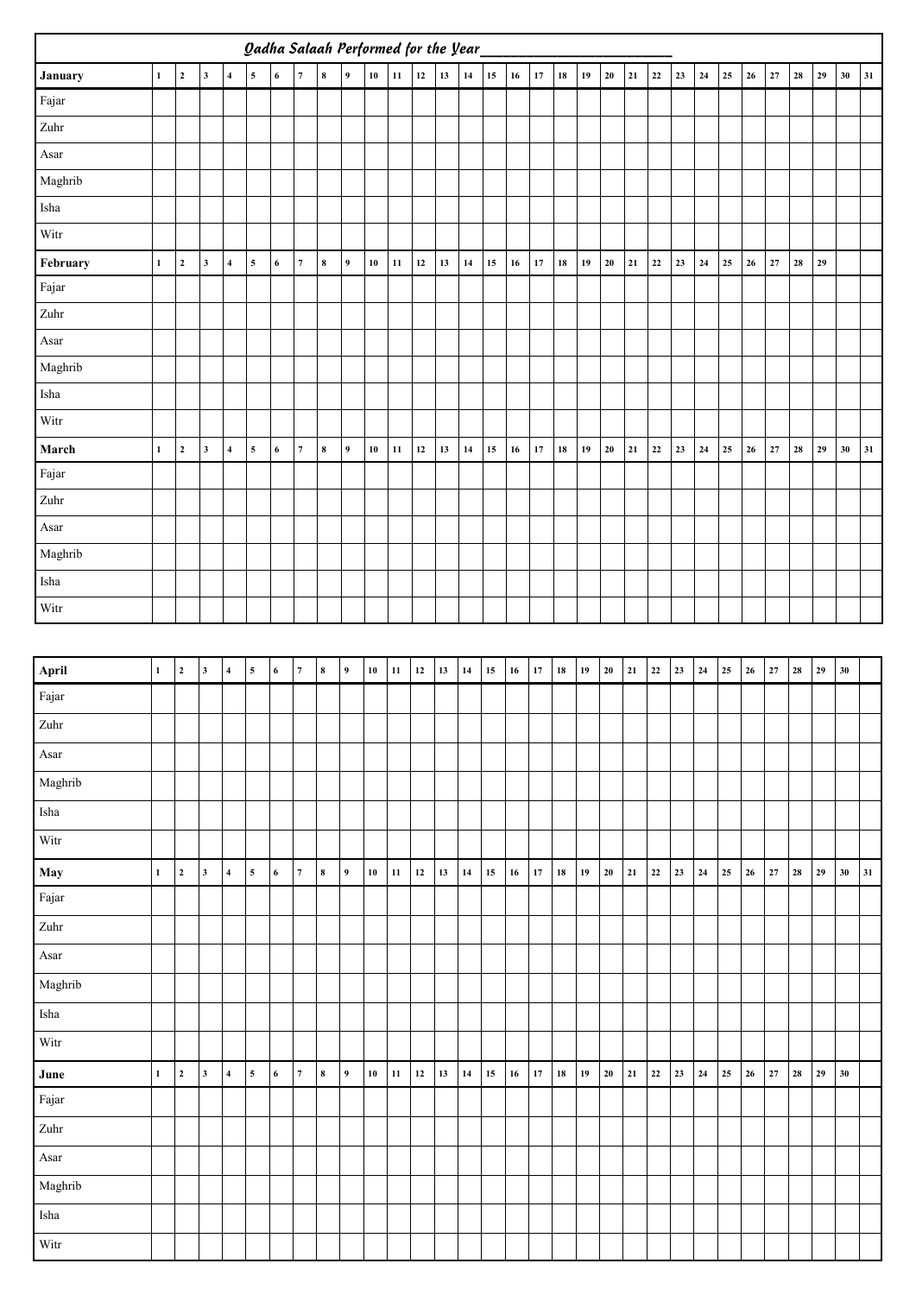|          | <b>Oadha Salaah Performed for the Year</b> |                  |                         |                         |                         |                  |                         |           |                  |            |            |        |        |        |        |            |          |            |        |            |          |           |        |           |            |                 |          |            |          |        |    |
|----------|--------------------------------------------|------------------|-------------------------|-------------------------|-------------------------|------------------|-------------------------|-----------|------------------|------------|------------|--------|--------|--------|--------|------------|----------|------------|--------|------------|----------|-----------|--------|-----------|------------|-----------------|----------|------------|----------|--------|----|
| January  | $\mathbf 1$                                | $\mathbf 2$      | $\mathbf{3}$            | $\overline{\mathbf{4}}$ | 5                       | $\bf{6}$         | $\boldsymbol{7}$        | $\bf 8$   | $\boldsymbol{9}$ | ${\bf 10}$ | $11\,$     | 12     | 13     | 14     | 15     | $16\,$     | $17\,$   | 18         | 19     | 20         | 21       | $\bf{22}$ | $23\,$ | 24        | 25         | 26              | $\bf 27$ | 28         | 29       | $30\,$ | 31 |
| Fajar    |                                            |                  |                         |                         |                         |                  |                         |           |                  |            |            |        |        |        |        |            |          |            |        |            |          |           |        |           |            |                 |          |            |          |        |    |
| Zuhr     |                                            |                  |                         |                         |                         |                  |                         |           |                  |            |            |        |        |        |        |            |          |            |        |            |          |           |        |           |            |                 |          |            |          |        |    |
| Asar     |                                            |                  |                         |                         |                         |                  |                         |           |                  |            |            |        |        |        |        |            |          |            |        |            |          |           |        |           |            |                 |          |            |          |        |    |
| Maghrib  |                                            |                  |                         |                         |                         |                  |                         |           |                  |            |            |        |        |        |        |            |          |            |        |            |          |           |        |           |            |                 |          |            |          |        |    |
| Isha     |                                            |                  |                         |                         |                         |                  |                         |           |                  |            |            |        |        |        |        |            |          |            |        |            |          |           |        |           |            |                 |          |            |          |        |    |
| Witr     |                                            |                  |                         |                         |                         |                  |                         |           |                  |            |            |        |        |        |        |            |          |            |        |            |          |           |        |           |            |                 |          |            |          |        |    |
| February | $\mathbf 1$                                | $\mathbf 2$      | $\overline{\mathbf{3}}$ | $\overline{\mathbf{4}}$ | $\sqrt{5}$              | $\bf{6}$         | $\overline{7}$          | $\bf 8$   | $\overline{9}$   | ${\bf 10}$ | $11\,$     | $12\,$ | $13\,$ | $14\,$ | $15\,$ | ${\bf 16}$ | $17\,$   | ${\bf 18}$ | $19\,$ | ${\bf 20}$ | 21       | $\bf{22}$ | $23\,$ | $\bf 24$  | 25         | ${\bf 26}$      | $\bf 27$ | ${\bf 28}$ | $29\,$   |        |    |
| Fajar    |                                            |                  |                         |                         |                         |                  |                         |           |                  |            |            |        |        |        |        |            |          |            |        |            |          |           |        |           |            |                 |          |            |          |        |    |
| Zuhr     |                                            |                  |                         |                         |                         |                  |                         |           |                  |            |            |        |        |        |        |            |          |            |        |            |          |           |        |           |            |                 |          |            |          |        |    |
| Asar     |                                            |                  |                         |                         |                         |                  |                         |           |                  |            |            |        |        |        |        |            |          |            |        |            |          |           |        |           |            |                 |          |            |          |        |    |
| Maghrib  |                                            |                  |                         |                         |                         |                  |                         |           |                  |            |            |        |        |        |        |            |          |            |        |            |          |           |        |           |            |                 |          |            |          |        |    |
| Isha     |                                            |                  |                         |                         |                         |                  |                         |           |                  |            |            |        |        |        |        |            |          |            |        |            |          |           |        |           |            |                 |          |            |          |        |    |
| Witr     |                                            |                  |                         |                         |                         |                  |                         |           |                  |            |            |        |        |        |        |            |          |            |        |            |          |           |        |           |            |                 |          |            |          |        |    |
| March    | $\mathbf 1$                                | $\mathbf{2}$     | $\overline{\mathbf{3}}$ | $\overline{\mathbf{4}}$ | $\sqrt{5}$              | $\boldsymbol{6}$ | $\scriptstyle\rm 7$     | $\pmb{8}$ | $\overline{9}$   | ${\bf 10}$ | 11         | 12     | 13     | 14     | 15     | $16\,$     | $17\,$   | 18         | $19$   | ${\bf 20}$ | 21       | 22        | $23\,$ | 24        | 25         | 26              | $\bf 27$ | 28         | 29       | $30\,$ | 31 |
| Fajar    |                                            |                  |                         |                         |                         |                  |                         |           |                  |            |            |        |        |        |        |            |          |            |        |            |          |           |        |           |            |                 |          |            |          |        |    |
| Zuhr     |                                            |                  |                         |                         |                         |                  |                         |           |                  |            |            |        |        |        |        |            |          |            |        |            |          |           |        |           |            |                 |          |            |          |        |    |
| $\!$     |                                            |                  |                         |                         |                         |                  |                         |           |                  |            |            |        |        |        |        |            |          |            |        |            |          |           |        |           |            |                 |          |            |          |        |    |
| Maghrib  |                                            |                  |                         |                         |                         |                  |                         |           |                  |            |            |        |        |        |        |            |          |            |        |            |          |           |        |           |            |                 |          |            |          |        |    |
| Isha     |                                            |                  |                         |                         |                         |                  |                         |           |                  |            |            |        |        |        |        |            |          |            |        |            |          |           |        |           |            |                 |          |            |          |        |    |
| Witr     |                                            |                  |                         |                         |                         |                  |                         |           |                  |            |            |        |        |        |        |            |          |            |        |            |          |           |        |           |            |                 |          |            |          |        |    |
|          |                                            |                  |                         |                         |                         |                  |                         |           |                  |            |            |        |        |        |        |            |          |            |        |            |          |           |        |           |            |                 |          |            |          |        |    |
| April    | $\mathbf 1$                                | $\boldsymbol{2}$ | $\mathbf 3$             | $\boldsymbol{4}$        | $\overline{\mathbf{5}}$ | $\bf 6$          | $\overline{7}$          | $\bf 8$   | $\overline{9}$   | ${\bf 10}$ | 11         | $12\,$ | 13     | $14\,$ | 15     | 16         | $17\,$   | ${\bf 18}$ | 19     | 20         | 21       | $22\,$    | 23     | 24        | $25\,$     | 26              | 27       | 28         | 29       | 30     |    |
| Fajar    |                                            |                  |                         |                         |                         |                  |                         |           |                  |            |            |        |        |        |        |            |          |            |        |            |          |           |        |           |            |                 |          |            |          |        |    |
| Zuhr     |                                            |                  |                         |                         |                         |                  |                         |           |                  |            |            |        |        |        |        |            |          |            |        |            |          |           |        |           |            |                 |          |            |          |        |    |
| Asar     |                                            |                  |                         |                         |                         |                  |                         |           |                  |            |            |        |        |        |        |            |          |            |        |            |          |           |        |           |            |                 |          |            |          |        |    |
| Maghrib  |                                            |                  |                         |                         |                         |                  |                         |           |                  |            |            |        |        |        |        |            |          |            |        |            |          |           |        |           |            |                 |          |            |          |        |    |
| Isha     |                                            |                  |                         |                         |                         |                  |                         |           |                  |            |            |        |        |        |        |            |          |            |        |            |          |           |        |           |            |                 |          |            |          |        |    |
| Witr     |                                            |                  |                         |                         |                         |                  |                         |           |                  |            |            |        |        |        |        |            |          |            |        |            |          |           |        |           |            |                 |          |            |          |        |    |
| May      | $\mathbf{1}$                               | $\mathbf 2$      | $\mathbf 3$             | $\overline{\mathbf{4}}$ | $\sqrt{5}$              | $\bf 6$          | $\boldsymbol{7}$        | $\bf 8$   | $\overline{9}$   | ${\bf 10}$ | ${\bf 11}$ | $12\,$ | $13\,$ | 14     | $15\,$ | $16\,$     | $\bf 17$ | ${\bf 18}$ | 19     | ${\bf 20}$ | $\bf 21$ | $\bf 22$  | 23     | $\bf{24}$ | ${\bf 25}$ | $26\,$          | $\bf 27$ | ${\bf 28}$ | $\bf 29$ | 30     | 31 |
| Fajar    |                                            |                  |                         |                         |                         |                  |                         |           |                  |            |            |        |        |        |        |            |          |            |        |            |          |           |        |           |            |                 |          |            |          |        |    |
| Zuhr     |                                            |                  |                         |                         |                         |                  |                         |           |                  |            |            |        |        |        |        |            |          |            |        |            |          |           |        |           |            |                 |          |            |          |        |    |
| Asar     |                                            |                  |                         |                         |                         |                  |                         |           |                  |            |            |        |        |        |        |            |          |            |        |            |          |           |        |           |            |                 |          |            |          |        |    |
| Maghrib  |                                            |                  |                         |                         |                         |                  |                         |           |                  |            |            |        |        |        |        |            |          |            |        |            |          |           |        |           |            |                 |          |            |          |        |    |
| Isha     |                                            |                  |                         |                         |                         |                  |                         |           |                  |            |            |        |        |        |        |            |          |            |        |            |          |           |        |           |            |                 |          |            |          |        |    |
| Witr     |                                            |                  |                         |                         |                         |                  |                         |           |                  |            |            |        |        |        |        |            |          |            |        |            |          |           |        |           |            |                 |          |            |          |        |    |
| June     | $\mathbf{1}$                               | $\mathbf 2$      | $\mathbf 3$             | $\overline{\mathbf{4}}$ | $\sqrt{5}$              | $\bf 6$          | $\overline{\mathbf{7}}$ | $\bf 8$   | $\overline{9}$   | ${\bf 10}$ | ${\bf 11}$ | $12\,$ | 13     | 14     | $15\,$ | $16\,$     | $\bf 17$ | ${\bf 18}$ | 19     | $20\,$     | 21       | $\bf 22$  | 23     | $\bf{24}$ | $25\,$     | $26\phantom{.}$ | $\bf 27$ | ${\bf 28}$ | $\bf 29$ | 30     |    |
| Fajar    |                                            |                  |                         |                         |                         |                  |                         |           |                  |            |            |        |        |        |        |            |          |            |        |            |          |           |        |           |            |                 |          |            |          |        |    |
| Zuhr     |                                            |                  |                         |                         |                         |                  |                         |           |                  |            |            |        |        |        |        |            |          |            |        |            |          |           |        |           |            |                 |          |            |          |        |    |
| Asar     |                                            |                  |                         |                         |                         |                  |                         |           |                  |            |            |        |        |        |        |            |          |            |        |            |          |           |        |           |            |                 |          |            |          |        |    |
| Maghrib  |                                            |                  |                         |                         |                         |                  |                         |           |                  |            |            |        |        |        |        |            |          |            |        |            |          |           |        |           |            |                 |          |            |          |        |    |
| Isha     |                                            |                  |                         |                         |                         |                  |                         |           |                  |            |            |        |        |        |        |            |          |            |        |            |          |           |        |           |            |                 |          |            |          |        |    |
| Witr     |                                            |                  |                         |                         |                         |                  |                         |           |                  |            |            |        |        |        |        |            |          |            |        |            |          |           |        |           |            |                 |          |            |          |        |    |
|          |                                            |                  |                         |                         |                         |                  |                         |           |                  |            |            |        |        |        |        |            |          |            |        |            |          |           |        |           |            |                 |          |            |          |        |    |